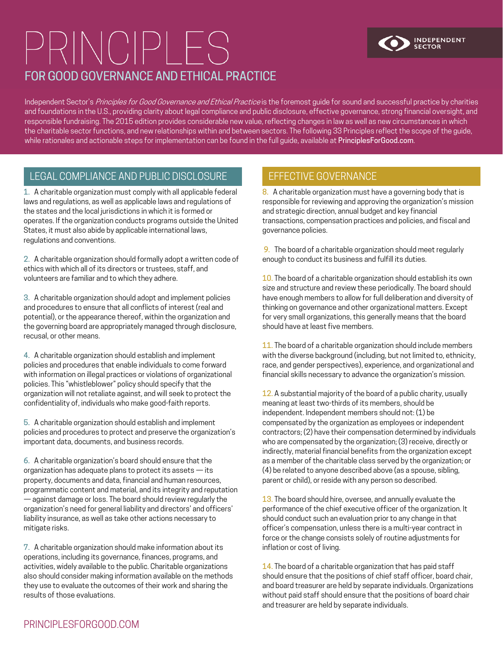# PRINCIPLES FOR GOOD GOVERNANCE AND ETHICAL PRACTICE



Independent Sector's Principles for Good Governance and Ethical Practice is the foremost guide for sound and successful practice by charities and foundations in the U.S., providing clarity about legal compliance and public disclosure, effective governance, strong financial oversight, and responsible fundraising. The 2015 edition provides considerable new value, reflecting changes in law as well as new circumstances in which the charitable sector functions, and new relationships within and between sectors. The following 33 Principles reflect the scope of the guide, while rationales and actionable steps for implementation can be found in the full guide, available at PrinciplesForGood.com.

### LEGAL COMPLIANCE AND PUBLIC DISCLOSURE **EFFECTIVE GOVERNANCE**

l

1. A charitable organization must comply with all applicable federal laws and regulations, as well as applicable laws and regulations of the states and the local jurisdictions in which it is formed or operates. If the organization conducts programs outside the United States, it must also abide by applicable international laws, regulations and conventions.

2. A charitable organization should formally adopt a written code of ethics with which all of its directors or trustees, staff, and volunteers are familiar and to which they adhere.

3. A charitable organization should adopt and implement policies and procedures to ensure that all conflicts of interest (real and potential), or the appearance thereof, within the organization and the governing board are appropriately managed through disclosure, recusal, or other means.

4. A charitable organization should establish and implement policies and procedures that enable individuals to come forward with information on illegal practices or violations of organizational policies. This "whistleblower" policy should specify that the organization will not retaliate against, and will seek to protect the confidentiality of, individuals who make good-faith reports.

5. A charitable organization should establish and implement policies and procedures to protect and preserve the organization's important data, documents, and business records.

6. A charitable organization's board should ensure that the organization has adequate plans to protect its assets — its property, documents and data, financial and human resources, programmatic content and material, and its integrity and reputation — against damage or loss. The board should review regularly the organization's need for general liability and directors' and officers' liability insurance, as well as take other actions necessary to mitigate risks.

7. A charitable organization should make information about its operations, including its governance, finances, programs, and activities, widely available to the public. Charitable organizations also should consider making information available on the methods they use to evaluate the outcomes of their work and sharing the results of those evaluations.

8. A charitable organization must have a governing body that is responsible for reviewing and approving the organization's mission and strategic direction, annual budget and key financial transactions, compensation practices and policies, and fiscal and governance policies.

9. The board of a charitable organization should meet regularly enough to conduct its business and fulfill its duties.

10. The board of a charitable organization should establish its own size and structure and review these periodically. The board should have enough members to allow for full deliberation and diversity of thinking on governance and other organizational matters. Except for very small organizations, this generally means that the board should have at least five members.

11. The board of a charitable organization should include members with the diverse background (including, but not limited to, ethnicity, race, and gender perspectives), experience, and organizational and financial skills necessary to advance the organization's mission.

12. A substantial majority of the board of a public charity, usually meaning at least two-thirds of its members, should be independent. Independent members should not: (1) be compensated by the organization as employees or independent contractors; (2) have their compensation determined by individuals who are compensated by the organization; (3) receive, directly or indirectly, material financial benefits from the organization except as a member of the charitable class served by the organization; or (4) be related to anyone described above (as a spouse, sibling, parent or child), or reside with any person so described.

13. The board should hire, oversee, and annually evaluate the performance of the chief executive officer of the organization. It should conduct such an evaluation prior to any change in that officer's compensation, unless there is a multi-year contract in force or the change consists solely of routine adjustments for inflation or cost of living.

14. The board of a charitable organization that has paid staff should ensure that the positions of chief staff officer, board chair, and board treasurer are held by separate individuals. Organizations without paid staff should ensure that the positions of board chair and treasurer are held by separate individuals.